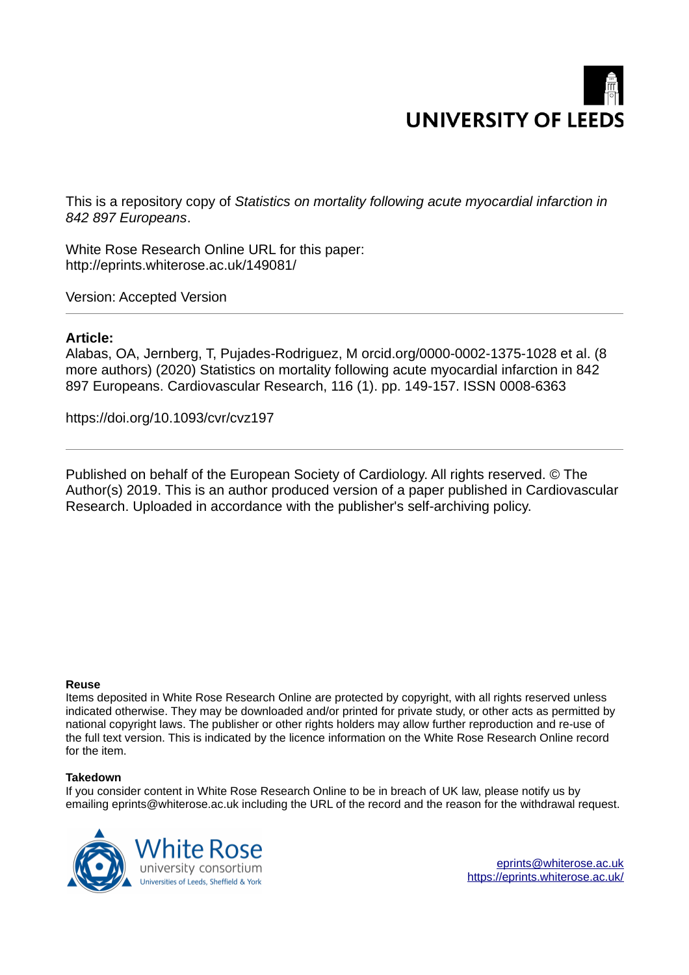# **UNIVERSITY OF LEEDS**

This is a repository copy of *Statistics on mortality following acute myocardial infarction in 842 897 Europeans*.

White Rose Research Online URL for this paper: http://eprints.whiterose.ac.uk/149081/

Version: Accepted Version

# **Article:**

Alabas, OA, Jernberg, T, Pujades-Rodriguez, M orcid.org/0000-0002-1375-1028 et al. (8 more authors) (2020) Statistics on mortality following acute myocardial infarction in 842 897 Europeans. Cardiovascular Research, 116 (1). pp. 149-157. ISSN 0008-6363

https://doi.org/10.1093/cvr/cvz197

Published on behalf of the European Society of Cardiology. All rights reserved. © The Author(s) 2019. This is an author produced version of a paper published in Cardiovascular Research. Uploaded in accordance with the publisher's self-archiving policy.

# **Reuse**

Items deposited in White Rose Research Online are protected by copyright, with all rights reserved unless indicated otherwise. They may be downloaded and/or printed for private study, or other acts as permitted by national copyright laws. The publisher or other rights holders may allow further reproduction and re-use of the full text version. This is indicated by the licence information on the White Rose Research Online record for the item.

# **Takedown**

If you consider content in White Rose Research Online to be in breach of UK law, please notify us by emailing eprints@whiterose.ac.uk including the URL of the record and the reason for the withdrawal request.



[eprints@whiterose.ac.uk](mailto:eprints@whiterose.ac.uk) <https://eprints.whiterose.ac.uk/>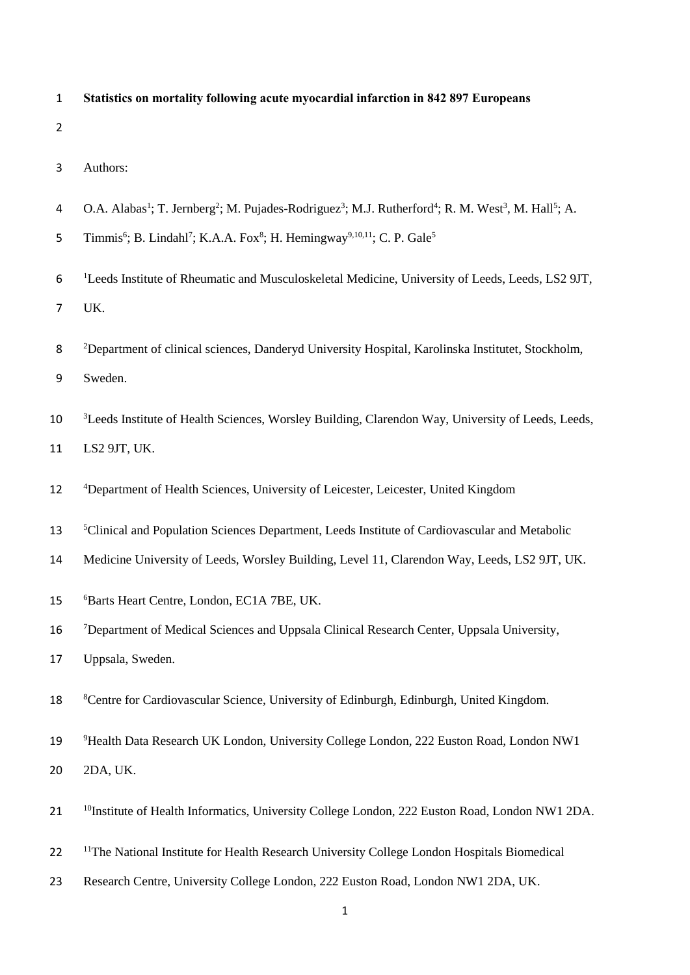- **Statistics on mortality following acute myocardial infarction in 842 897 Europeans**
- 

| 3 | Authors: |
|---|----------|
|   |          |

- 4 O.A. Alabas<sup>1</sup>; T. Jernberg<sup>2</sup>; M. Pujades-Rodriguez<sup>3</sup>; M.J. Rutherford<sup>4</sup>; R. M. West<sup>3</sup>, M. Hall<sup>5</sup>; A.
- 5 Timmis<sup>6</sup>; B. Lindahl<sup>7</sup>; K.A.A. Fox<sup>8</sup>; H. Hemingway<sup>9,10,11</sup>; C. P. Gale<sup>5</sup>
- <sup>1</sup> Leeds Institute of Rheumatic and Musculoskeletal Medicine, University of Leeds, Leeds, LS2 9JT, UK.
- 8 <sup>2</sup>Department of clinical sciences, Danderyd University Hospital, Karolinska Institutet, Stockholm, Sweden.
- <sup>3</sup> Leeds Institute of Health Sciences, Worsley Building, Clarendon Way, University of Leeds, Leeds, LS2 9JT, UK.
- 
- <sup>4</sup>Department of Health Sciences, University of Leicester, Leicester, United Kingdom
- <sup>5</sup> Clinical and Population Sciences Department, Leeds Institute of Cardiovascular and Metabolic
- Medicine University of Leeds, Worsley Building, Level 11, Clarendon Way, Leeds, LS2 9JT, UK.
- 15 <sup>6</sup>Barts Heart Centre, London, EC1A 7BE, UK.
- <sup>7</sup>Department of Medical Sciences and Uppsala Clinical Research Center, Uppsala University,
- Uppsala, Sweden.
- <sup>8</sup> Centre for Cardiovascular Science, University of Edinburgh, Edinburgh, United Kingdom.
- <sup>9</sup>Health Data Research UK London, University College London, 222 Euston Road, London NW1 2DA, UK.
- <sup>10</sup> 10 10 10 10 2DA. Institute of Health Informatics, University College London, 222 Euston Road, London NW1 2DA.
- 22 <sup>11</sup> The National Institute for Health Research University College London Hospitals Biomedical
- Research Centre, University College London, 222 Euston Road, London NW1 2DA, UK.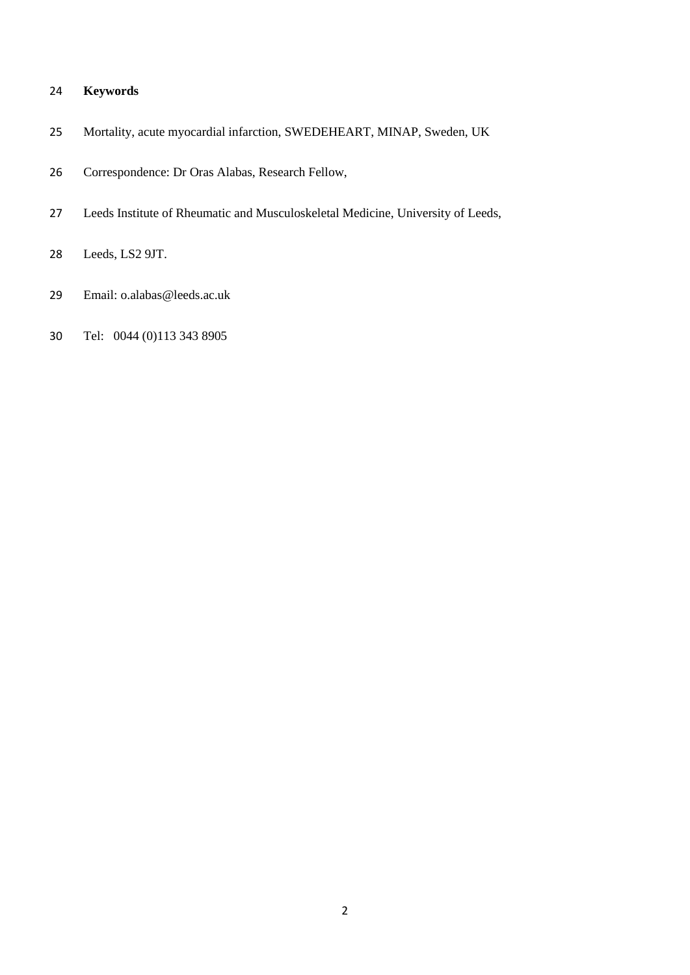# **Keywords**

- Mortality, acute myocardial infarction, SWEDEHEART, MINAP, Sweden, UK
- Correspondence: Dr Oras Alabas, Research Fellow,
- Leeds Institute of Rheumatic and Musculoskeletal Medicine, University of Leeds,
- Leeds, LS2 9JT.
- Email: o.alabas@leeds.ac.uk
- Tel: 0044 (0)113 343 8905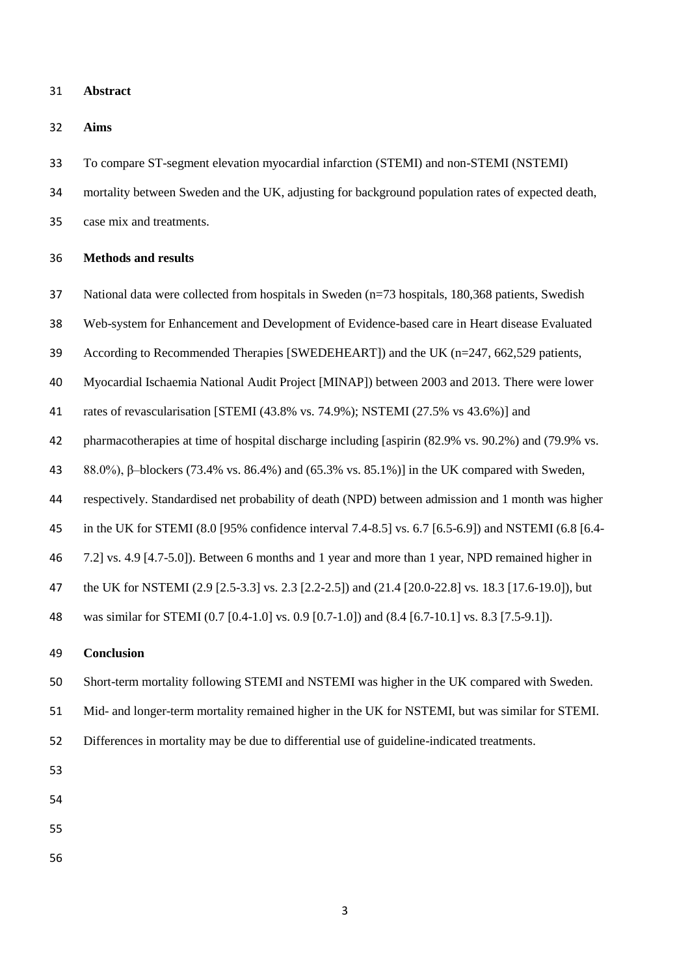### **Abstract**

**Aims** 

To compare ST-segment elevation myocardial infarction (STEMI) and non-STEMI (NSTEMI)

mortality between Sweden and the UK, adjusting for background population rates of expected death,

case mix and treatments.

### **Methods and results**

- National data were collected from hospitals in Sweden (n=73 hospitals, 180,368 patients, Swedish
- Web-system for Enhancement and Development of Evidence-based care in Heart disease Evaluated
- According to Recommended Therapies [SWEDEHEART]) and the UK (n=247, 662,529 patients,
- Myocardial Ischaemia National Audit Project [MINAP]) between 2003 and 2013. There were lower
- rates of revascularisation [STEMI (43.8% vs. 74.9%); NSTEMI (27.5% vs 43.6%)] and
- pharmacotherapies at time of hospital discharge including [aspirin (82.9% vs. 90.2%) and (79.9% vs.
- 43 88.0%),  $\beta$ –blockers (73.4% vs. 86.4%) and (65.3% vs. 85.1%)] in the UK compared with Sweden,
- respectively. Standardised net probability of death (NPD) between admission and 1 month was higher
- in the UK for STEMI (8.0 [95% confidence interval 7.4-8.5] vs. 6.7 [6.5-6.9]) and NSTEMI (6.8 [6.4-
- 7.2] vs. 4.9 [4.7-5.0]). Between 6 months and 1 year and more than 1 year, NPD remained higher in
- the UK for NSTEMI (2.9 [2.5-3.3] vs. 2.3 [2.2-2.5]) and (21.4 [20.0-22.8] vs. 18.3 [17.6-19.0]), but
- was similar for STEMI (0.7 [0.4-1.0] vs. 0.9 [0.7-1.0]) and (8.4 [6.7-10.1] vs. 8.3 [7.5-9.1]).

# **Conclusion**

- Short-term mortality following STEMI and NSTEMI was higher in the UK compared with Sweden.
- Mid- and longer-term mortality remained higher in the UK for NSTEMI, but was similar for STEMI.
- Differences in mortality may be due to differential use of guideline-indicated treatments.

- 
- 
-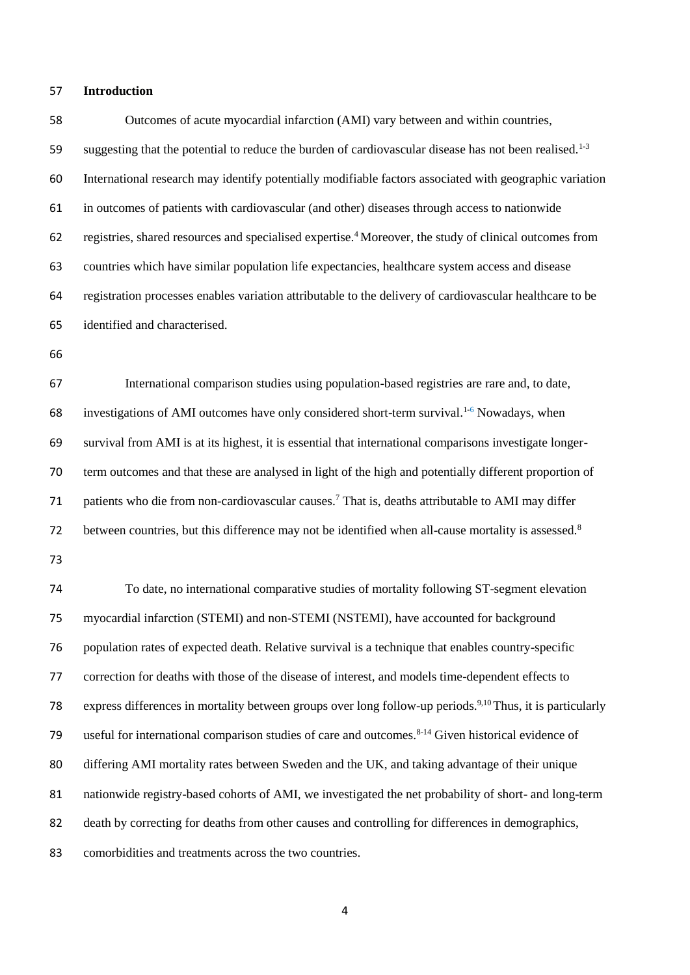### **Introduction**

 Outcomes of acute myocardial infarction (AMI) vary between and within countries, 59 suggesting that the potential to reduce the burden of cardiovascular disease has not been realised.<sup>1-3</sup> International research may identify potentially modifiable factors associated with geographic variation in outcomes of patients with cardiovascular (and other) diseases through access to nationwide registries, shared resources and specialised expertise. <sup>4</sup>Moreover, the study of clinical outcomes from countries which have similar population life expectancies, healthcare system access and disease registration processes enables variation attributable to the delivery of cardiovascular healthcare to be identified and characterised.

 International comparison studies using population-based registries are rare and, to date, 68 investigations of AMI outcomes have only considered short-term survival.<sup>1-6</sup> Nowadays, when survival from AMI is at its highest, it is essential that international comparisons investigate longer- term outcomes and that these are analysed in light of the high and potentially different proportion of 71 patients who die from non-cardiovascular causes.<sup>7</sup> That is, deaths attributable to AMI may differ 72 between countries, but this difference may not be identified when all-cause mortality is assessed.<sup>8</sup>

 To date, no international comparative studies of mortality following ST-segment elevation myocardial infarction (STEMI) and non-STEMI (NSTEMI), have accounted for background population rates of expected death. Relative survival is a technique that enables country-specific correction for deaths with those of the disease of interest, and models time-dependent effects to 78 express differences in mortality between groups over long follow-up periods.<sup>9,10</sup> Thus, it is particularly 79 useful for international comparison studies of care and outcomes.  $8-14$  Given historical evidence of differing AMI mortality rates between Sweden and the UK, and taking advantage of their unique nationwide registry-based cohorts of AMI, we investigated the net probability of short- and long-term death by correcting for deaths from other causes and controlling for differences in demographics, comorbidities and treatments across the two countries.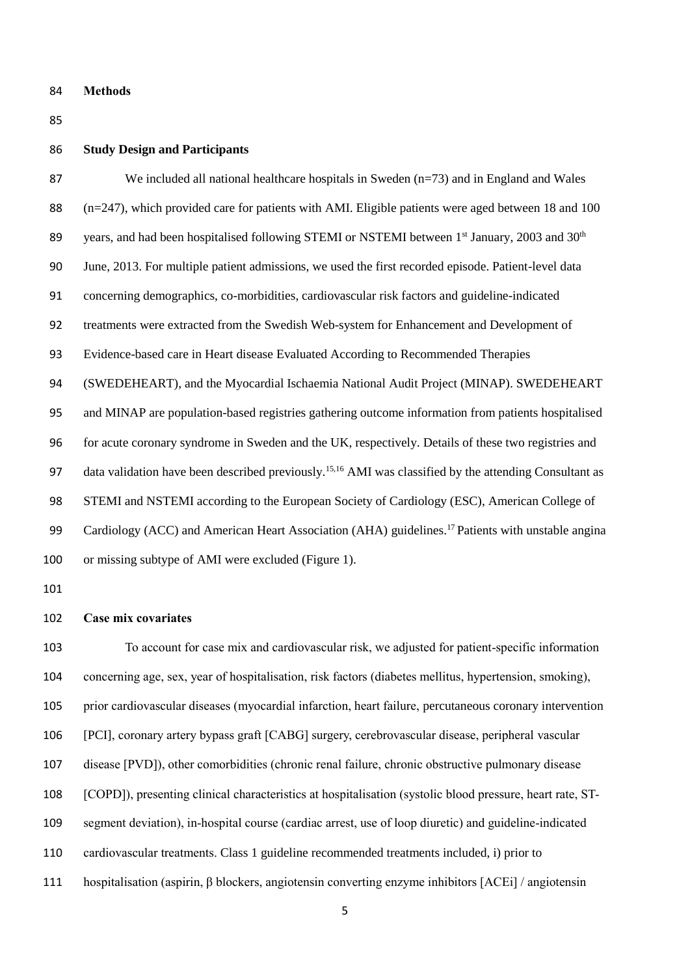- **Methods**
- 

### **Study Design and Participants**

87 We included all national healthcare hospitals in Sweden (n=73) and in England and Wales (n=247), which provided care for patients with AMI. Eligible patients were aged between 18 and 100 89 vears, and had been hospitalised following STEMI or NSTEMI between  $1<sup>st</sup>$  January, 2003 and 30<sup>th</sup> June, 2013. For multiple patient admissions, we used the first recorded episode. Patient-level data concerning demographics, co-morbidities, cardiovascular risk factors and guideline-indicated treatments were extracted from the Swedish Web-system for Enhancement and Development of Evidence-based care in Heart disease Evaluated According to Recommended Therapies (SWEDEHEART), and the Myocardial Ischaemia National Audit Project (MINAP). SWEDEHEART and MINAP are population-based registries gathering outcome information from patients hospitalised for acute coronary syndrome in Sweden and the UK, respectively. Details of these two registries and 97 data validation have been described previously.<sup>15,16</sup> AMI was classified by the attending Consultant as STEMI and NSTEMI according to the European Society of Cardiology (ESC), American College of 99 Cardiology (ACC) and American Heart Association (AHA) guidelines.<sup>17</sup> Patients with unstable angina or missing subtype of AMI were excluded (Figure 1).

### **Case mix covariates**

 To account for case mix and cardiovascular risk, we adjusted for patient-specific information concerning age, sex, year of hospitalisation, risk factors (diabetes mellitus, hypertension, smoking), prior cardiovascular diseases (myocardial infarction, heart failure, percutaneous coronary intervention [PCI], coronary artery bypass graft [CABG] surgery, cerebrovascular disease, peripheral vascular disease [PVD]), other comorbidities (chronic renal failure, chronic obstructive pulmonary disease [COPD]), presenting clinical characteristics at hospitalisation (systolic blood pressure, heart rate, ST- segment deviation), in-hospital course (cardiac arrest, use of loop diuretic) and guideline-indicated cardiovascular treatments. Class 1 guideline recommended treatments included, i) prior to 111 hospitalisation (aspirin,  $\beta$  blockers, angiotensin converting enzyme inhibitors  $[ACEi] / angiotensin$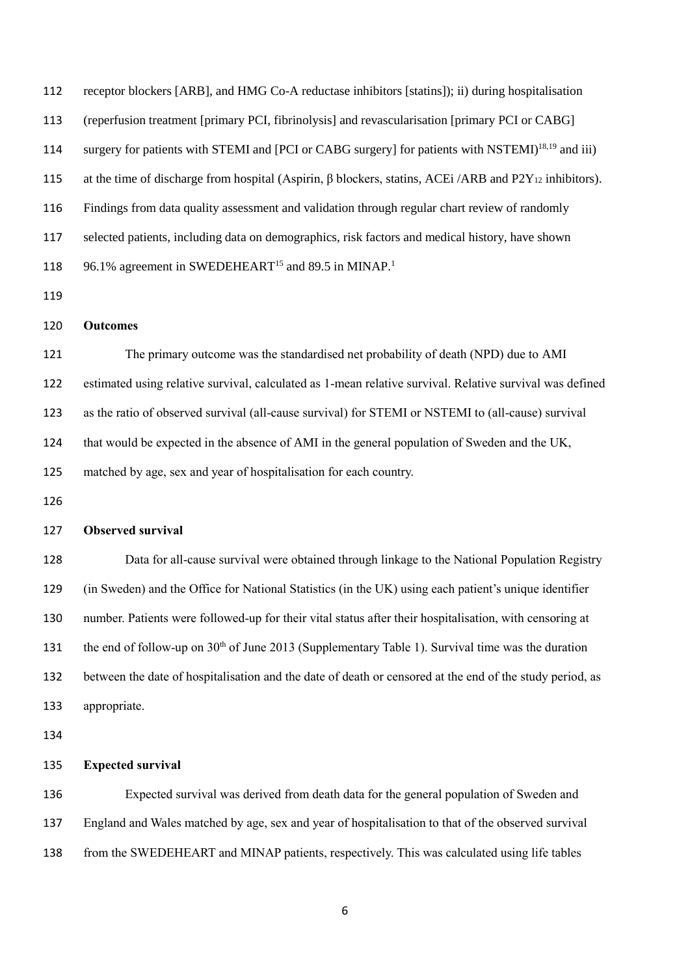receptor blockers [ARB], and HMG Co-A reductase inhibitors [statins]); ii) during hospitalisation (reperfusion treatment [primary PCI, fibrinolysis] and revascularisation [primary PCI or CABG] 114 surgery for patients with STEMI and [PCI or CABG surgery] for patients with NSTEMI)<sup>18,19</sup> and iii) 115 at the time of discharge from hospital (Aspirin,  $\beta$  blockers, statins, ACEi /ARB and P2Y<sub>12</sub> inhibitors). Findings from data quality assessment and validation through regular chart review of randomly selected patients, including data on demographics, risk factors and medical history, have shown 118 96.1% agreement in SWEDEHEART<sup>15</sup> and 89.5 in MINAP.<sup>1</sup>

# **Outcomes**

 The primary outcome was the standardised net probability of death (NPD) due to AMI estimated using relative survival, calculated as 1-mean relative survival. Relative survival was defined as the ratio of observed survival (all-cause survival) for STEMI or NSTEMI to (all-cause) survival that would be expected in the absence of AMI in the general population of Sweden and the UK, matched by age, sex and year of hospitalisation for each country.

# **Observed survival**

 Data for all-cause survival were obtained through linkage to the National Population Registry (in Sweden) and the Office for National Statistics (in the UK) using each patient's unique identifier number. Patients were followed-up for their vital status after their hospitalisation, with censoring at the end of follow-up on  $30<sup>th</sup>$  of June 2013 (Supplementary Table 1). Survival time was the duration between the date of hospitalisation and the date of death or censored at the end of the study period, as appropriate.

### **Expected survival**

 Expected survival was derived from death data for the general population of Sweden and England and Wales matched by age, sex and year of hospitalisation to that of the observed survival from the SWEDEHEART and MINAP patients, respectively. This was calculated using life tables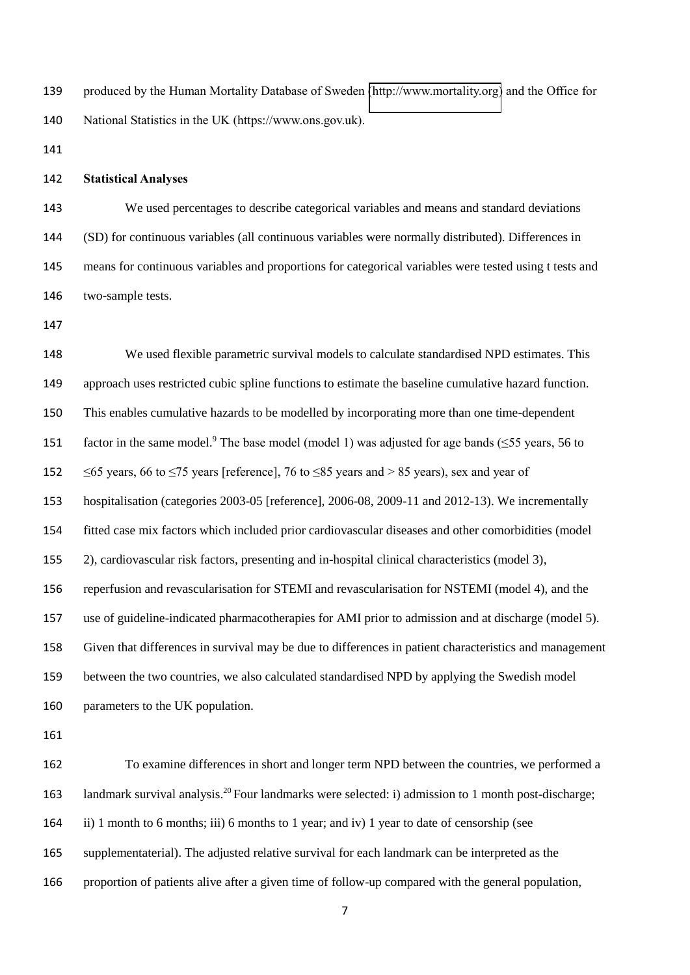produced by the Human Mortality Database of Sweden [\(http://www.mortality.org\)](http://www.mortality.org/) and the Office for National Statistics in the UK (https://www.ons.gov.uk).

### **Statistical Analyses**

 We used percentages to describe categorical variables and means and standard deviations (SD) for continuous variables (all continuous variables were normally distributed). Differences in means for continuous variables and proportions for categorical variables were tested using t tests and two-sample tests.

 We used flexible parametric survival models to calculate standardised NPD estimates. This approach uses restricted cubic spline functions to estimate the baseline cumulative hazard function. This enables cumulative hazards to be modelled by incorporating more than one time-dependent factor in the same model.<sup>9</sup> The base model (model 1) was adjusted for age bands ( $\leq$ 55 years, 56 to  $\leq$  65 years, 66 to  $\leq$  75 years [reference], 76 to  $\leq$  85 years and > 85 years), sex and year of hospitalisation (categories 2003-05 [reference], 2006-08, 2009-11 and 2012-13). We incrementally fitted case mix factors which included prior cardiovascular diseases and other comorbidities (model 2), cardiovascular risk factors, presenting and in-hospital clinical characteristics (model 3), reperfusion and revascularisation for STEMI and revascularisation for NSTEMI (model 4), and the use of guideline-indicated pharmacotherapies for AMI prior to admission and at discharge (model 5). Given that differences in survival may be due to differences in patient characteristics and management between the two countries, we also calculated standardised NPD by applying the Swedish model parameters to the UK population. 

 To examine differences in short and longer term NPD between the countries, we performed a 163 Iandmark survival analysis.<sup>20</sup> Four landmarks were selected: i) admission to 1 month post-discharge; ii) 1 month to 6 months; iii) 6 months to 1 year; and iv) 1 year to date of censorship (see supplementaterial). The adjusted relative survival for each landmark can be interpreted as the proportion of patients alive after a given time of follow-up compared with the general population,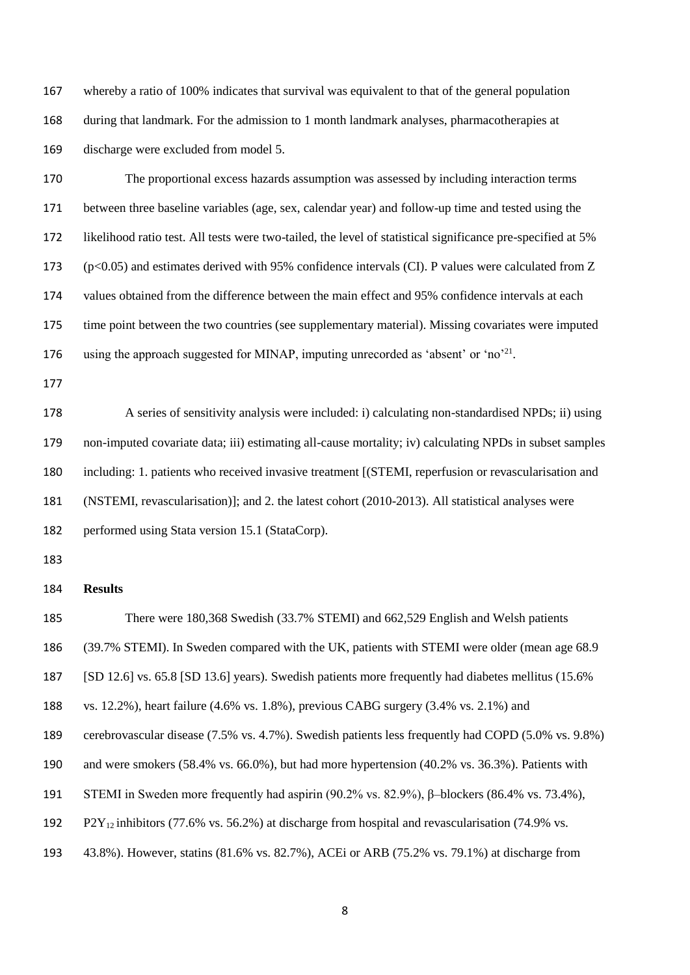whereby a ratio of 100% indicates that survival was equivalent to that of the general population during that landmark. For the admission to 1 month landmark analyses, pharmacotherapies at discharge were excluded from model 5.

 The proportional excess hazards assumption was assessed by including interaction terms between three baseline variables (age, sex, calendar year) and follow-up time and tested using the likelihood ratio test. All tests were two-tailed, the level of statistical significance pre-specified at 5% (p<0.05) and estimates derived with 95% confidence intervals (CI). P values were calculated from Z values obtained from the difference between the main effect and 95% confidence intervals at each time point between the two countries (see supplementary material). Missing covariates were imputed 176 using the approach suggested for MINAP, imputing unrecorded as 'absent' or 'no'<sup>21</sup>.

 A series of sensitivity analysis were included: i) calculating non-standardised NPDs; ii) using non-imputed covariate data; iii) estimating all-cause mortality; iv) calculating NPDs in subset samples including: 1. patients who received invasive treatment [(STEMI, reperfusion or revascularisation and (NSTEMI, revascularisation)]; and 2. the latest cohort (2010-2013). All statistical analyses were performed using Stata version 15.1 (StataCorp).

## **Results**

 There were 180,368 Swedish (33.7% STEMI) and 662,529 English and Welsh patients (39.7% STEMI). In Sweden compared with the UK, patients with STEMI were older (mean age 68.9 [SD 12.6] vs. 65.8 [SD 13.6] years). Swedish patients more frequently had diabetes mellitus (15.6% vs. 12.2%), heart failure (4.6% vs. 1.8%), previous CABG surgery (3.4% vs. 2.1%) and cerebrovascular disease (7.5% vs. 4.7%). Swedish patients less frequently had COPD (5.0% vs. 9.8%) and were smokers (58.4% vs. 66.0%), but had more hypertension (40.2% vs. 36.3%). Patients with 191 STEMI in Sweden more frequently had aspirin  $(90.2\% \text{ vs. } 82.9\%)$ ,  $\beta$ -blockers  $(86.4\% \text{ vs. } 73.4\%)$ , P2Y12 inhibitors (77.6% vs. 56.2%) at discharge from hospital and revascularisation (74.9% vs. 43.8%). However, statins (81.6% vs. 82.7%), ACEi or ARB (75.2% vs. 79.1%) at discharge from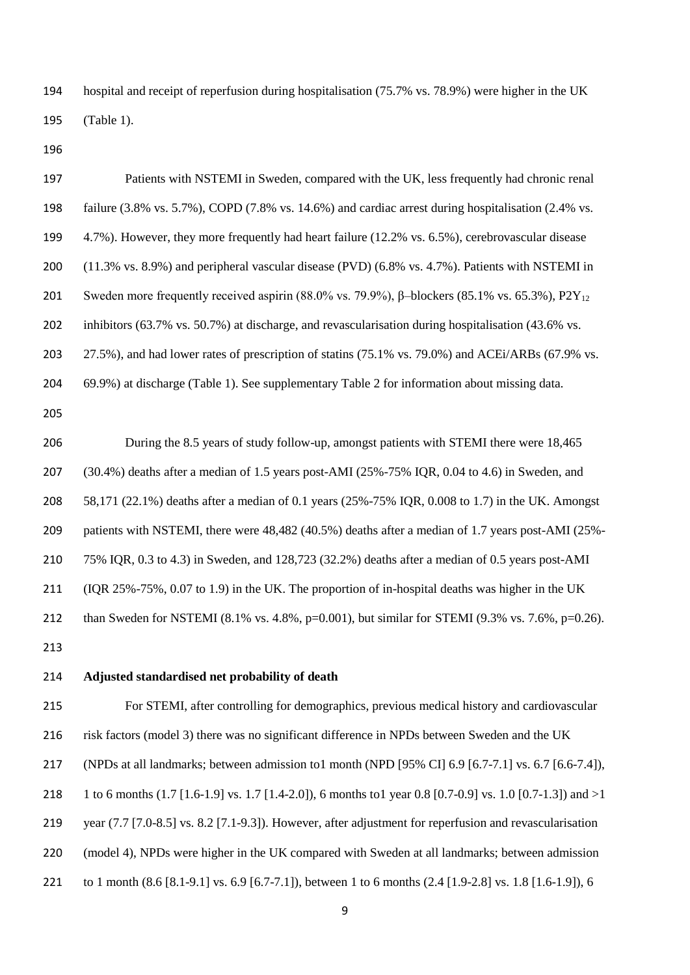hospital and receipt of reperfusion during hospitalisation (75.7% vs. 78.9%) were higher in the UK (Table 1).

 Patients with NSTEMI in Sweden, compared with the UK, less frequently had chronic renal failure (3.8% vs. 5.7%), COPD (7.8% vs. 14.6%) and cardiac arrest during hospitalisation (2.4% vs. 4.7%). However, they more frequently had heart failure (12.2% vs. 6.5%), cerebrovascular disease (11.3% vs. 8.9%) and peripheral vascular disease (PVD) (6.8% vs. 4.7%). Patients with NSTEMI in 201 Sweden more frequently received aspirin  $(88.0\% \text{ vs. } 79.9\%)$ ,  $\beta$ -blockers  $(85.1\% \text{ vs. } 65.3\%)$ ,  $P2Y_{12}$  inhibitors (63.7% vs. 50.7%) at discharge, and revascularisation during hospitalisation (43.6% vs. 27.5%), and had lower rates of prescription of statins (75.1% vs. 79.0%) and ACEi/ARBs (67.9% vs. 69.9%) at discharge (Table 1). See supplementary Table 2 for information about missing data. During the 8.5 years of study follow-up, amongst patients with STEMI there were 18,465

 (30.4%) deaths after a median of 1.5 years post-AMI (25%-75% IQR, 0.04 to 4.6) in Sweden, and 58,171 (22.1%) deaths after a median of 0.1 years (25%-75% IQR, 0.008 to 1.7) in the UK. Amongst patients with NSTEMI, there were 48,482 (40.5%) deaths after a median of 1.7 years post-AMI (25%- 75% IQR, 0.3 to 4.3) in Sweden, and 128,723 (32.2%) deaths after a median of 0.5 years post-AMI (IQR 25%-75%, 0.07 to 1.9) in the UK. The proportion of in-hospital deaths was higher in the UK 212 than Sweden for NSTEMI (8.1% vs. 4.8%, p=0.001), but similar for STEMI (9.3% vs. 7.6%, p=0.26).

# **Adjusted standardised net probability of death**

 For STEMI, after controlling for demographics, previous medical history and cardiovascular risk factors (model 3) there was no significant difference in NPDs between Sweden and the UK (NPDs at all landmarks; between admission to1 month (NPD [95% CI] 6.9 [6.7-7.1] vs. 6.7 [6.6-7.4]), 1 to 6 months (1.7 [1.6-1.9] vs. 1.7 [1.4-2.0]), 6 months to1 year 0.8 [0.7-0.9] vs. 1.0 [0.7-1.3]) and >1 year (7.7 [7.0-8.5] vs. 8.2 [7.1-9.3]). However, after adjustment for reperfusion and revascularisation (model 4), NPDs were higher in the UK compared with Sweden at all landmarks; between admission to 1 month (8.6 [8.1-9.1] vs. 6.9 [6.7-7.1]), between 1 to 6 months (2.4 [1.9-2.8] vs. 1.8 [1.6-1.9]), 6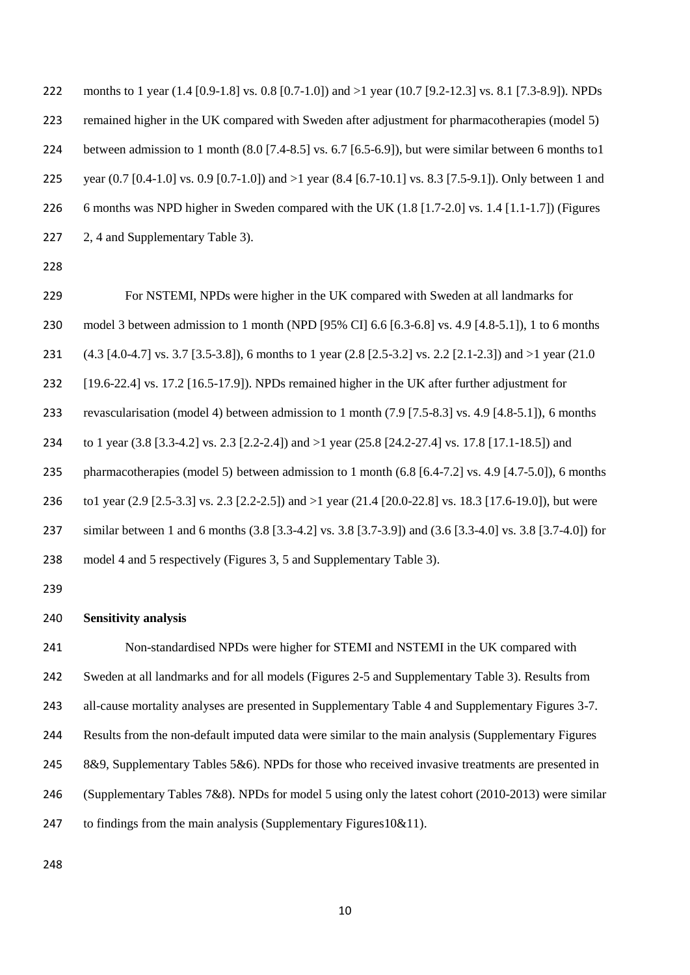months to 1 year (1.4 [0.9-1.8] vs. 0.8 [0.7-1.0]) and >1 year (10.7 [9.2-12.3] vs. 8.1 [7.3-8.9]). NPDs remained higher in the UK compared with Sweden after adjustment for pharmacotherapies (model 5) between admission to 1 month (8.0 [7.4-8.5] vs. 6.7 [6.5-6.9]), but were similar between 6 months to1 year (0.7 [0.4-1.0] vs. 0.9 [0.7-1.0]) and >1 year (8.4 [6.7-10.1] vs. 8.3 [7.5-9.1]). Only between 1 and 6 months was NPD higher in Sweden compared with the UK (1.8 [1.7-2.0] vs. 1.4 [1.1-1.7]) (Figures 227 2, 4 and Supplementary Table 3).

 For NSTEMI, NPDs were higher in the UK compared with Sweden at all landmarks for model 3 between admission to 1 month (NPD [95% CI] 6.6 [6.3-6.8] vs. 4.9 [4.8-5.1]), 1 to 6 months (4.3 [4.0-4.7] vs. 3.7 [3.5-3.8]), 6 months to 1 year (2.8 [2.5-3.2] vs. 2.2 [2.1-2.3]) and >1 year (21.0 [19.6-22.4] vs. 17.2 [16.5-17.9]). NPDs remained higher in the UK after further adjustment for revascularisation (model 4) between admission to 1 month (7.9 [7.5-8.3] vs. 4.9 [4.8-5.1]), 6 months to 1 year (3.8 [3.3-4.2] vs. 2.3 [2.2-2.4]) and >1 year (25.8 [24.2-27.4] vs. 17.8 [17.1-18.5]) and pharmacotherapies (model 5) between admission to 1 month (6.8 [6.4-7.2] vs. 4.9 [4.7-5.0]), 6 months to1 year (2.9 [2.5-3.3] vs. 2.3 [2.2-2.5]) and >1 year (21.4 [20.0-22.8] vs. 18.3 [17.6-19.0]), but were similar between 1 and 6 months (3.8 [3.3-4.2] vs. 3.8 [3.7-3.9]) and (3.6 [3.3-4.0] vs. 3.8 [3.7-4.0]) for model 4 and 5 respectively (Figures 3, 5 and Supplementary Table 3).

## **Sensitivity analysis**

 Non-standardised NPDs were higher for STEMI and NSTEMI in the UK compared with Sweden at all landmarks and for all models (Figures 2-5 and Supplementary Table 3). Results from all-cause mortality analyses are presented in Supplementary Table 4 and Supplementary Figures 3-7. Results from the non-default imputed data were similar to the main analysis (Supplementary Figures 8&9, Supplementary Tables 5&6). NPDs for those who received invasive treatments are presented in (Supplementary Tables 7&8). NPDs for model 5 using only the latest cohort (2010-2013) were similar 247 to findings from the main analysis (Supplementary Figures 10&11).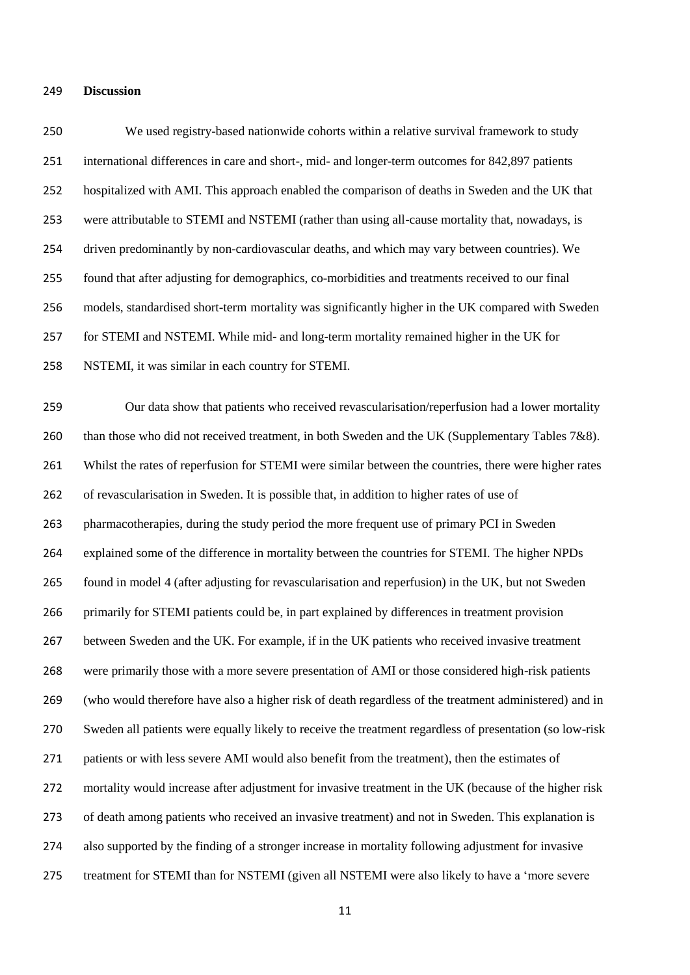### **Discussion**

 We used registry-based nationwide cohorts within a relative survival framework to study international differences in care and short-, mid- and longer-term outcomes for 842,897 patients hospitalized with AMI. This approach enabled the comparison of deaths in Sweden and the UK that were attributable to STEMI and NSTEMI (rather than using all-cause mortality that, nowadays, is driven predominantly by non-cardiovascular deaths, and which may vary between countries). We found that after adjusting for demographics, co-morbidities and treatments received to our final models, standardised short-term mortality was significantly higher in the UK compared with Sweden for STEMI and NSTEMI. While mid- and long-term mortality remained higher in the UK for NSTEMI, it was similar in each country for STEMI.

 Our data show that patients who received revascularisation/reperfusion had a lower mortality 260 than those who did not received treatment, in both Sweden and the UK (Supplementary Tables 7&8). Whilst the rates of reperfusion for STEMI were similar between the countries, there were higher rates of revascularisation in Sweden. It is possible that, in addition to higher rates of use of pharmacotherapies, during the study period the more frequent use of primary PCI in Sweden explained some of the difference in mortality between the countries for STEMI. The higher NPDs found in model 4 (after adjusting for revascularisation and reperfusion) in the UK, but not Sweden primarily for STEMI patients could be, in part explained by differences in treatment provision between Sweden and the UK. For example, if in the UK patients who received invasive treatment were primarily those with a more severe presentation of AMI or those considered high-risk patients (who would therefore have also a higher risk of death regardless of the treatment administered) and in Sweden all patients were equally likely to receive the treatment regardless of presentation (so low-risk 271 patients or with less severe AMI would also benefit from the treatment), then the estimates of mortality would increase after adjustment for invasive treatment in the UK (because of the higher risk of death among patients who received an invasive treatment) and not in Sweden. This explanation is also supported by the finding of a stronger increase in mortality following adjustment for invasive treatment for STEMI than for NSTEMI (given all NSTEMI were also likely to have a 'more severe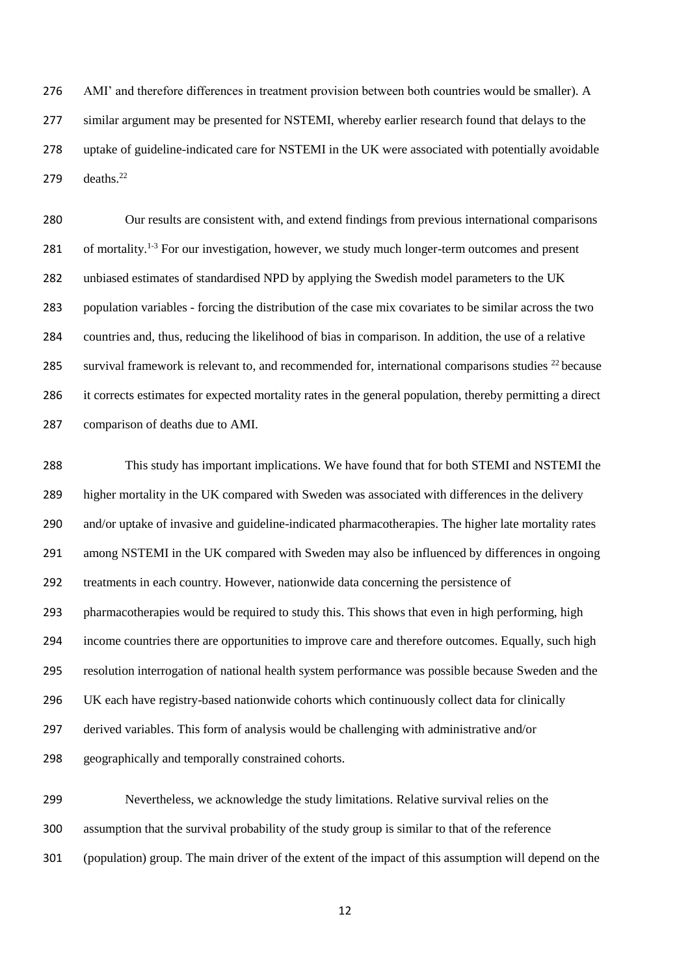AMI' and therefore differences in treatment provision between both countries would be smaller). A similar argument may be presented for NSTEMI, whereby earlier research found that delays to the uptake of guideline-indicated care for NSTEMI in the UK were associated with potentially avoidable  $deaths.<sup>22</sup>$ 

 Our results are consistent with, and extend findings from previous international comparisons 281 of mortality.<sup>1-3</sup> For our investigation, however, we study much longer-term outcomes and present 282 unbiased estimates of standardised NPD by applying the Swedish model parameters to the UK population variables - forcing the distribution of the case mix covariates to be similar across the two countries and, thus, reducing the likelihood of bias in comparison. In addition, the use of a relative 285 survival framework is relevant to, and recommended for, international comparisons studies  $^{22}$  because it corrects estimates for expected mortality rates in the general population, thereby permitting a direct comparison of deaths due to AMI.

 This study has important implications. We have found that for both STEMI and NSTEMI the higher mortality in the UK compared with Sweden was associated with differences in the delivery and/or uptake of invasive and guideline-indicated pharmacotherapies. The higher late mortality rates among NSTEMI in the UK compared with Sweden may also be influenced by differences in ongoing treatments in each country. However, nationwide data concerning the persistence of pharmacotherapies would be required to study this. This shows that even in high performing, high income countries there are opportunities to improve care and therefore outcomes. Equally, such high resolution interrogation of national health system performance was possible because Sweden and the UK each have registry-based nationwide cohorts which continuously collect data for clinically derived variables. This form of analysis would be challenging with administrative and/or geographically and temporally constrained cohorts.

 Nevertheless, we acknowledge the study limitations. Relative survival relies on the assumption that the survival probability of the study group is similar to that of the reference (population) group. The main driver of the extent of the impact of this assumption will depend on the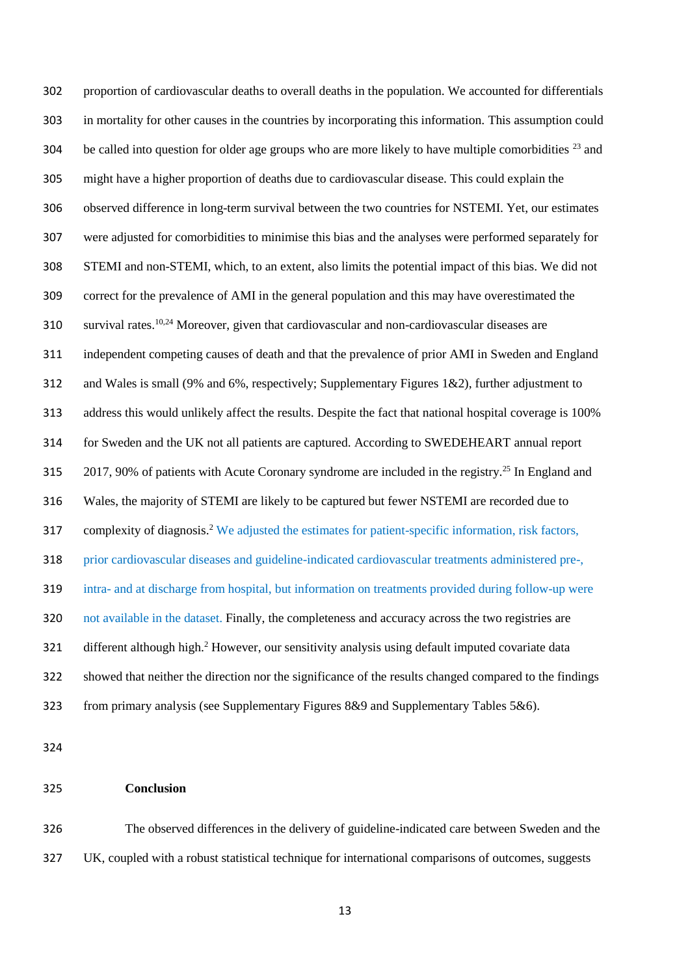proportion of cardiovascular deaths to overall deaths in the population. We accounted for differentials in mortality for other causes in the countries by incorporating this information. This assumption could 304 be called into question for older age groups who are more likely to have multiple comorbidities  $^{23}$  and might have a higher proportion of deaths due to cardiovascular disease. This could explain the observed difference in long-term survival between the two countries for NSTEMI. Yet, our estimates were adjusted for comorbidities to minimise this bias and the analyses were performed separately for STEMI and non-STEMI, which, to an extent, also limits the potential impact of this bias. We did not correct for the prevalence of AMI in the general population and this may have overestimated the survival rates.<sup>10,24</sup> Moreover, given that cardiovascular and non-cardiovascular diseases are independent competing causes of death and that the prevalence of prior AMI in Sweden and England and Wales is small (9% and 6%, respectively; Supplementary Figures 1&2), further adjustment to address this would unlikely affect the results. Despite the fact that national hospital coverage is 100% for Sweden and the UK not all patients are captured. According to SWEDEHEART annual report  $2017, 90\%$  of patients with Acute Coronary syndrome are included in the registry.<sup>25</sup> In England and Wales, the majority of STEMI are likely to be captured but fewer NSTEMI are recorded due to 317 complexity of diagnosis.<sup>2</sup> We adjusted the estimates for patient-specific information, risk factors, prior cardiovascular diseases and guideline-indicated cardiovascular treatments administered pre-, intra- and at discharge from hospital, but information on treatments provided during follow-up were not available in the dataset. Finally, the completeness and accuracy across the two registries are 321 different although high.<sup>2</sup> However, our sensitivity analysis using default imputed covariate data showed that neither the direction nor the significance of the results changed compared to the findings from primary analysis (see Supplementary Figures 8&9 and Supplementary Tables 5&6).

# **Conclusion**

 The observed differences in the delivery of guideline-indicated care between Sweden and the UK, coupled with a robust statistical technique for international comparisons of outcomes, suggests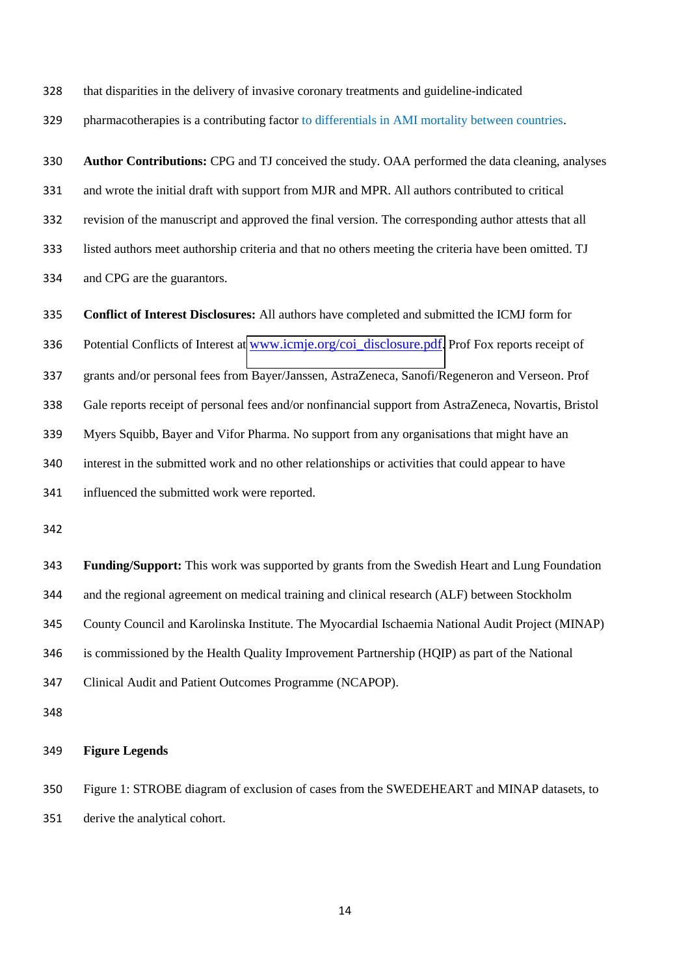that disparities in the delivery of invasive coronary treatments and guideline-indicated

pharmacotherapies is a contributing factor to differentials in AMI mortality between countries.

 **Author Contributions:** CPG and TJ conceived the study. OAA performed the data cleaning, analyses and wrote the initial draft with support from MJR and MPR. All authors contributed to critical revision of the manuscript and approved the final version. The corresponding author attests that all listed authors meet authorship criteria and that no others meeting the criteria have been omitted. TJ and CPG are the guarantors.

 **Conflict of Interest Disclosures:** All authors have completed and submitted the ICMJ form for 336 Potential Conflicts of Interest at [www.icmje.org/coi\\_disclosure.pdf](http://www.icmje.org/coi_disclosure.pdf). Prof Fox reports receipt of grants and/or personal fees from Bayer/Janssen, AstraZeneca, Sanofi/Regeneron and Verseon. Prof Gale reports receipt of personal fees and/or nonfinancial support from AstraZeneca, Novartis, Bristol Myers Squibb, Bayer and Vifor Pharma. No support from any organisations that might have an interest in the submitted work and no other relationships or activities that could appear to have influenced the submitted work were reported.

 **Funding/Support:** This work was supported by grants from the Swedish Heart and Lung Foundation and the regional agreement on medical training and clinical research (ALF) between Stockholm County Council and Karolinska Institute. The Myocardial Ischaemia National Audit Project (MINAP) is commissioned by the Health Quality Improvement Partnership (HQIP) as part of the National Clinical Audit and Patient Outcomes Programme (NCAPOP).

**Figure Legends** 

 Figure 1: STROBE diagram of exclusion of cases from the SWEDEHEART and MINAP datasets, to derive the analytical cohort.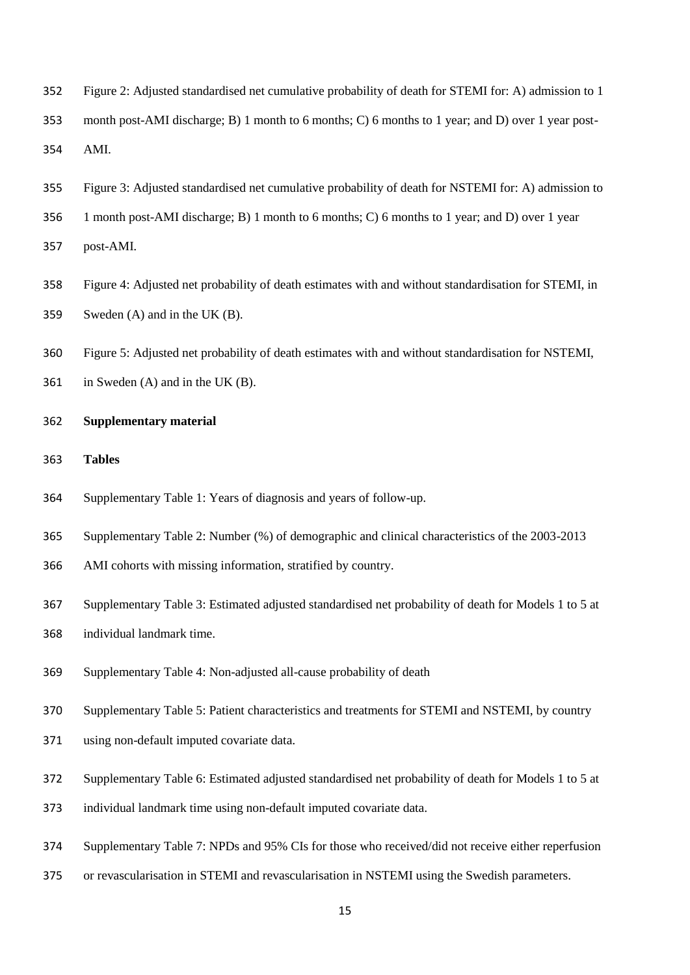Figure 2: Adjusted standardised net cumulative probability of death for STEMI for: A) admission to 1 month post-AMI discharge; B) 1 month to 6 months; C) 6 months to 1 year; and D) over 1 year post-AMI.

Figure 3: Adjusted standardised net cumulative probability of death for NSTEMI for: A) admission to

1 month post-AMI discharge; B) 1 month to 6 months; C) 6 months to 1 year; and D) over 1 year

post-AMI.

- Figure 4: Adjusted net probability of death estimates with and without standardisation for STEMI, in Sweden (A) and in the UK (B).
- Figure 5: Adjusted net probability of death estimates with and without standardisation for NSTEMI,
- in Sweden (A) and in the UK (B).

### **Supplementary material**

- **Tables**
- Supplementary Table 1: Years of diagnosis and years of follow-up.
- Supplementary Table 2: Number (%) of demographic and clinical characteristics of the 2003-2013
- AMI cohorts with missing information, stratified by country.
- Supplementary Table 3: Estimated adjusted standardised net probability of death for Models 1 to 5 at
- individual landmark time.
- Supplementary Table 4: Non-adjusted all-cause probability of death
- Supplementary Table 5: Patient characteristics and treatments for STEMI and NSTEMI, by country
- using non-default imputed covariate data.
- Supplementary Table 6: Estimated adjusted standardised net probability of death for Models 1 to 5 at
- individual landmark time using non-default imputed covariate data.
- Supplementary Table 7: NPDs and 95% CIs for those who received/did not receive either reperfusion
- or revascularisation in STEMI and revascularisation in NSTEMI using the Swedish parameters.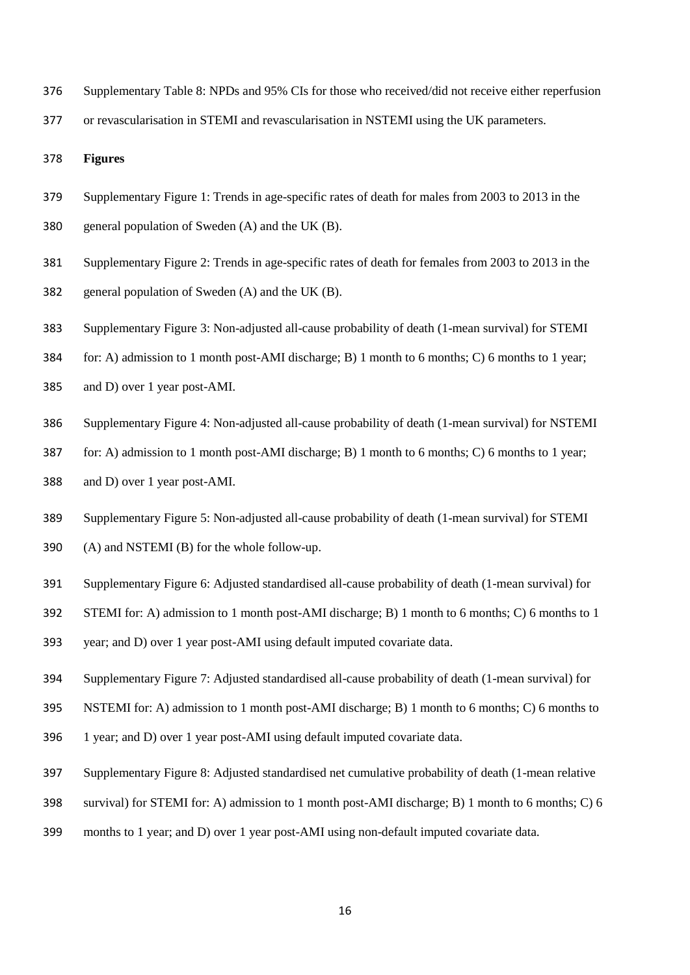- Supplementary Table 8: NPDs and 95% CIs for those who received/did not receive either reperfusion
- or revascularisation in STEMI and revascularisation in NSTEMI using the UK parameters.

# **Figures**

- Supplementary Figure 1: Trends in age-specific rates of death for males from 2003 to 2013 in the
- general population of Sweden (A) and the UK (B).
- Supplementary Figure 2: Trends in age-specific rates of death for females from 2003 to 2013 in the general population of Sweden (A) and the UK (B).
- Supplementary Figure 3: Non-adjusted all-cause probability of death (1-mean survival) for STEMI
- for: A) admission to 1 month post-AMI discharge; B) 1 month to 6 months; C) 6 months to 1 year;
- and D) over 1 year post-AMI.
- Supplementary Figure 4: Non-adjusted all-cause probability of death (1-mean survival) for NSTEMI
- for: A) admission to 1 month post-AMI discharge; B) 1 month to 6 months; C) 6 months to 1 year;
- and D) over 1 year post-AMI.
- Supplementary Figure 5: Non-adjusted all-cause probability of death (1-mean survival) for STEMI
- (A) and NSTEMI (B) for the whole follow-up.
- Supplementary Figure 6: Adjusted standardised all-cause probability of death (1-mean survival) for
- STEMI for: A) admission to 1 month post-AMI discharge; B) 1 month to 6 months; C) 6 months to 1
- year; and D) over 1 year post-AMI using default imputed covariate data.
- Supplementary Figure 7: Adjusted standardised all-cause probability of death (1-mean survival) for
- NSTEMI for: A) admission to 1 month post-AMI discharge; B) 1 month to 6 months; C) 6 months to
- 1 year; and D) over 1 year post-AMI using default imputed covariate data.
- Supplementary Figure 8: Adjusted standardised net cumulative probability of death (1-mean relative
- survival) for STEMI for: A) admission to 1 month post-AMI discharge; B) 1 month to 6 months; C) 6
- months to 1 year; and D) over 1 year post-AMI using non-default imputed covariate data.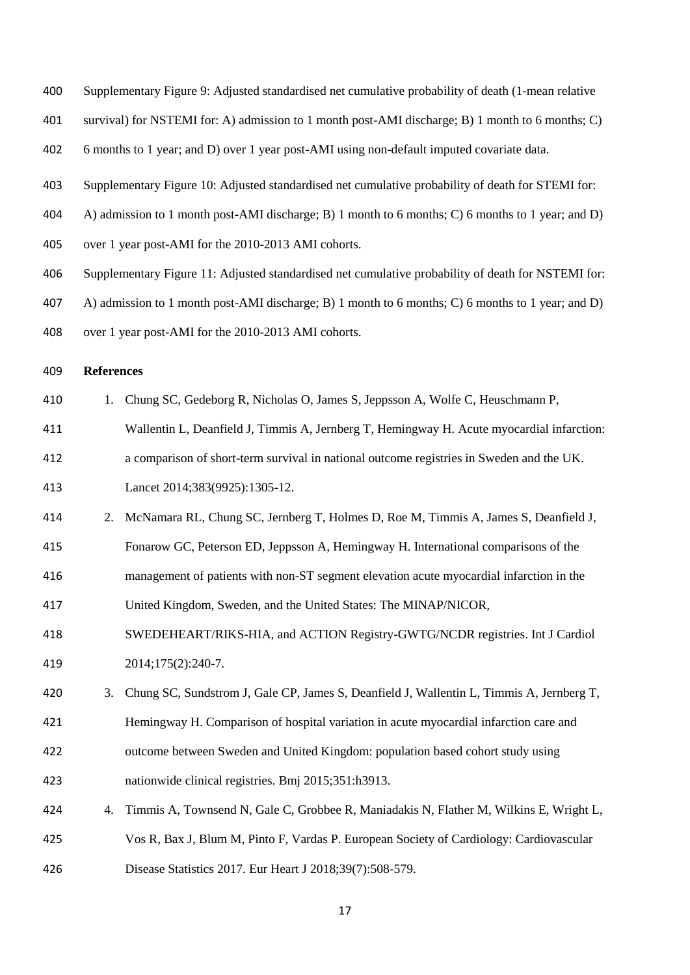- Supplementary Figure 9: Adjusted standardised net cumulative probability of death (1-mean relative
- survival) for NSTEMI for: A) admission to 1 month post-AMI discharge; B) 1 month to 6 months; C)
- 6 months to 1 year; and D) over 1 year post-AMI using non-default imputed covariate data.
- Supplementary Figure 10: Adjusted standardised net cumulative probability of death for STEMI for:
- A) admission to 1 month post-AMI discharge; B) 1 month to 6 months; C) 6 months to 1 year; and D)
- over 1 year post-AMI for the 2010-2013 AMI cohorts.
- Supplementary Figure 11: Adjusted standardised net cumulative probability of death for NSTEMI for:
- A) admission to 1 month post-AMI discharge; B) 1 month to 6 months; C) 6 months to 1 year; and D)
- over 1 year post-AMI for the 2010-2013 AMI cohorts.

### **References**

- 1. Chung SC, Gedeborg R, Nicholas O, James S, Jeppsson A, Wolfe C, Heuschmann P,
- Wallentin L, Deanfield J, Timmis A, Jernberg T, Hemingway H. Acute myocardial infarction: a comparison of short-term survival in national outcome registries in Sweden and the UK.
- Lancet 2014;383(9925):1305-12.
- 2. McNamara RL, Chung SC, Jernberg T, Holmes D, Roe M, Timmis A, James S, Deanfield J,
- Fonarow GC, Peterson ED, Jeppsson A, Hemingway H. International comparisons of the
- management of patients with non-ST segment elevation acute myocardial infarction in the
- United Kingdom, Sweden, and the United States: The MINAP/NICOR,
- SWEDEHEART/RIKS-HIA, and ACTION Registry-GWTG/NCDR registries. Int J Cardiol 2014;175(2):240-7.
- 3. Chung SC, Sundstrom J, Gale CP, James S, Deanfield J, Wallentin L, Timmis A, Jernberg T,
- Hemingway H. Comparison of hospital variation in acute myocardial infarction care and
- outcome between Sweden and United Kingdom: population based cohort study using nationwide clinical registries. Bmj 2015;351:h3913.
- 4. Timmis A, Townsend N, Gale C, Grobbee R, Maniadakis N, Flather M, Wilkins E, Wright L, Vos R, Bax J, Blum M, Pinto F, Vardas P. European Society of Cardiology: Cardiovascular Disease Statistics 2017. Eur Heart J 2018;39(7):508-579.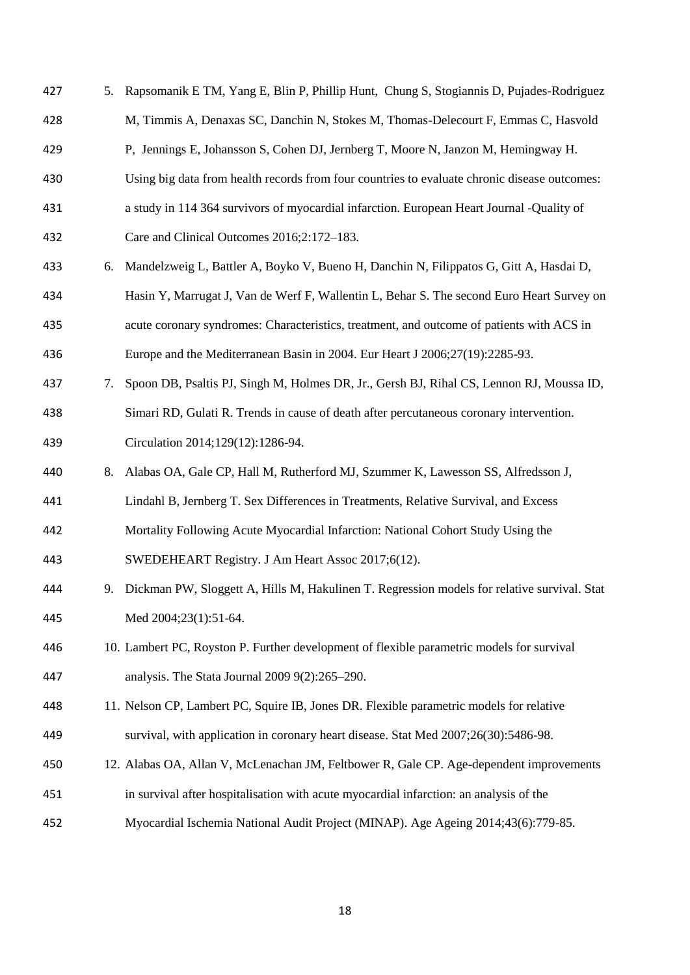5. Rapsomanik E TM, Yang E, Blin P, Phillip Hunt, Chung S, Stogiannis D, Pujades-Rodriguez M, Timmis A, Denaxas SC, Danchin N, Stokes M, Thomas-Delecourt F, Emmas C, Hasvold P, Jennings E, Johansson S, Cohen DJ, Jernberg T, Moore N, Janzon M, Hemingway H. Using big data from health records from four countries to evaluate chronic disease outcomes: a study in 114 364 survivors of myocardial infarction. European Heart Journal -Quality of Care and Clinical Outcomes 2016;2:172–183. 6. Mandelzweig L, Battler A, Boyko V, Bueno H, Danchin N, Filippatos G, Gitt A, Hasdai D, Hasin Y, Marrugat J, Van de Werf F, Wallentin L, Behar S. The second Euro Heart Survey on acute coronary syndromes: Characteristics, treatment, and outcome of patients with ACS in Europe and the Mediterranean Basin in 2004. Eur Heart J 2006;27(19):2285-93. 7. Spoon DB, Psaltis PJ, Singh M, Holmes DR, Jr., Gersh BJ, Rihal CS, Lennon RJ, Moussa ID, Simari RD, Gulati R. Trends in cause of death after percutaneous coronary intervention. Circulation 2014;129(12):1286-94. 8. Alabas OA, Gale CP, Hall M, Rutherford MJ, Szummer K, Lawesson SS, Alfredsson J, Lindahl B, Jernberg T. Sex Differences in Treatments, Relative Survival, and Excess Mortality Following Acute Myocardial Infarction: National Cohort Study Using the SWEDEHEART Registry. J Am Heart Assoc 2017;6(12). 9. Dickman PW, Sloggett A, Hills M, Hakulinen T. Regression models for relative survival. Stat Med 2004;23(1):51-64. 10. Lambert PC, Royston P. Further development of flexible parametric models for survival analysis. The Stata Journal 2009 9(2):265–290. 11. Nelson CP, Lambert PC, Squire IB, Jones DR. Flexible parametric models for relative survival, with application in coronary heart disease. Stat Med 2007;26(30):5486-98. 12. Alabas OA, Allan V, McLenachan JM, Feltbower R, Gale CP. Age-dependent improvements in survival after hospitalisation with acute myocardial infarction: an analysis of the Myocardial Ischemia National Audit Project (MINAP). Age Ageing 2014;43(6):779-85.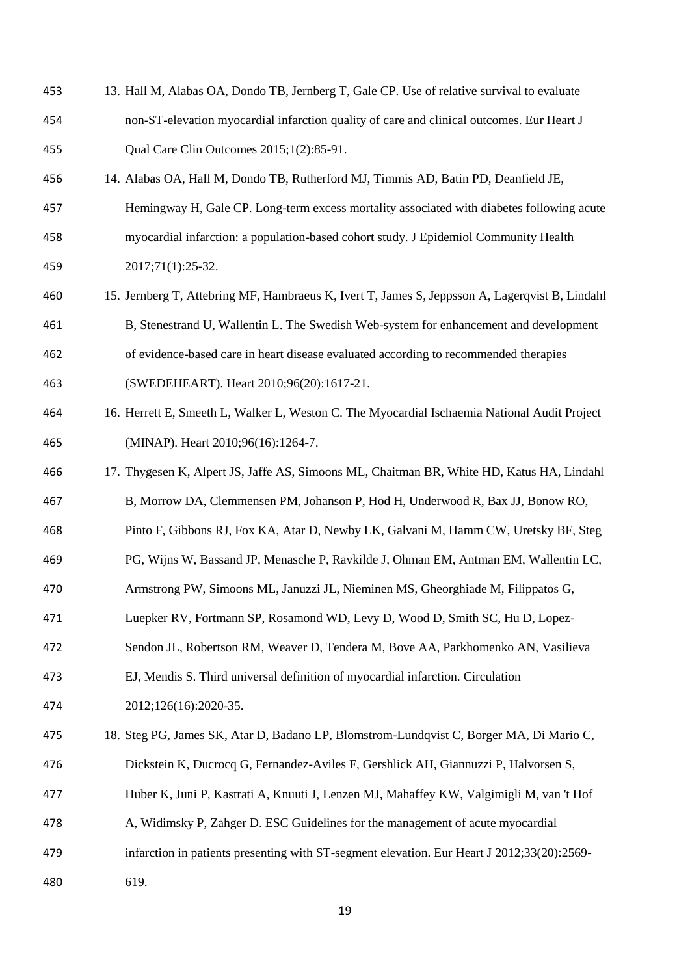| 453 | 13. Hall M, Alabas OA, Dondo TB, Jernberg T, Gale CP. Use of relative survival to evaluate     |
|-----|------------------------------------------------------------------------------------------------|
| 454 | non-ST-elevation myocardial infarction quality of care and clinical outcomes. Eur Heart J      |
| 455 | Qual Care Clin Outcomes 2015;1(2):85-91.                                                       |
| 456 | 14. Alabas OA, Hall M, Dondo TB, Rutherford MJ, Timmis AD, Batin PD, Deanfield JE,             |
| 457 | Hemingway H, Gale CP. Long-term excess mortality associated with diabetes following acute      |
| 458 | myocardial infarction: a population-based cohort study. J Epidemiol Community Health           |
| 459 | 2017;71(1):25-32.                                                                              |
| 460 | 15. Jernberg T, Attebring MF, Hambraeus K, Ivert T, James S, Jeppsson A, Lagerqvist B, Lindahl |
| 461 | B, Stenestrand U, Wallentin L. The Swedish Web-system for enhancement and development          |
| 462 | of evidence-based care in heart disease evaluated according to recommended therapies           |
| 463 | (SWEDEHEART). Heart 2010;96(20):1617-21.                                                       |
| 464 | 16. Herrett E, Smeeth L, Walker L, Weston C. The Myocardial Ischaemia National Audit Project   |
| 465 | (MINAP). Heart 2010;96(16):1264-7.                                                             |
| 466 | 17. Thygesen K, Alpert JS, Jaffe AS, Simoons ML, Chaitman BR, White HD, Katus HA, Lindahl      |
| 467 | B, Morrow DA, Clemmensen PM, Johanson P, Hod H, Underwood R, Bax JJ, Bonow RO,                 |
| 468 | Pinto F, Gibbons RJ, Fox KA, Atar D, Newby LK, Galvani M, Hamm CW, Uretsky BF, Steg            |
| 469 | PG, Wijns W, Bassand JP, Menasche P, Ravkilde J, Ohman EM, Antman EM, Wallentin LC,            |
| 470 | Armstrong PW, Simoons ML, Januzzi JL, Nieminen MS, Gheorghiade M, Filippatos G,                |
| 471 | Luepker RV, Fortmann SP, Rosamond WD, Levy D, Wood D, Smith SC, Hu D, Lopez-                   |
| 472 | Sendon JL, Robertson RM, Weaver D, Tendera M, Bove AA, Parkhomenko AN, Vasilieva               |
| 473 | EJ, Mendis S. Third universal definition of myocardial infarction. Circulation                 |
| 474 | 2012;126(16):2020-35.                                                                          |
| 475 | 18. Steg PG, James SK, Atar D, Badano LP, Blomstrom-Lundqvist C, Borger MA, Di Mario C,        |
| 476 | Dickstein K, Ducrocq G, Fernandez-Aviles F, Gershlick AH, Giannuzzi P, Halvorsen S,            |
| 477 | Huber K, Juni P, Kastrati A, Knuuti J, Lenzen MJ, Mahaffey KW, Valgimigli M, van 't Hof        |
| 478 | A, Widimsky P, Zahger D. ESC Guidelines for the management of acute myocardial                 |
| 479 | infarction in patients presenting with ST-segment elevation. Eur Heart J 2012;33(20):2569-     |
| 480 | 619.                                                                                           |
|     | 19                                                                                             |